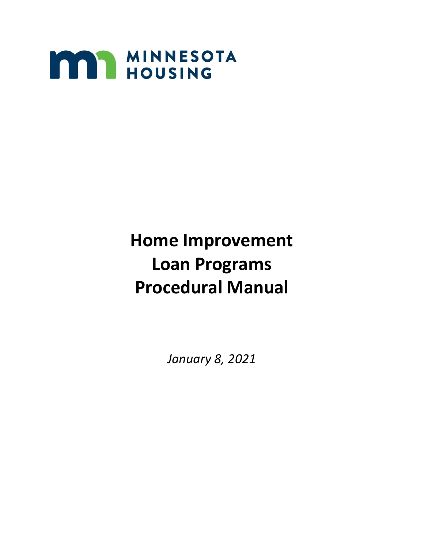

# **Home Improvement Loan Programs Procedural Manual**

*January 8, 2021*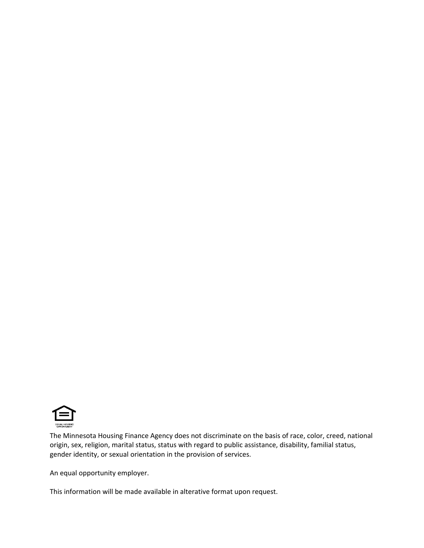

The Minnesota Housing Finance Agency does not discriminate on the basis of race, color, creed, national origin, sex, religion, marital status, status with regard to public assistance, disability, familial status, gender identity, or sexual orientation in the provision of services.

An equal opportunity employer.

This information will be made available in alterative format upon request.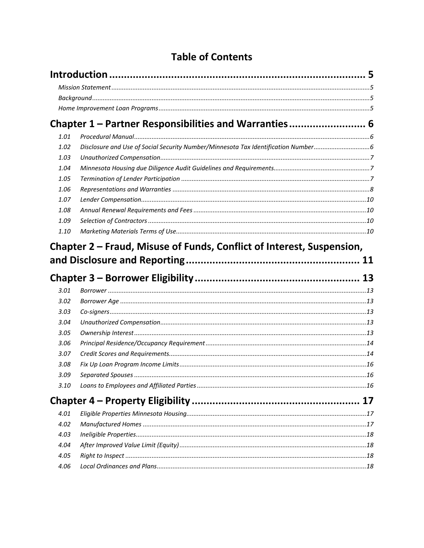# **Table of Contents**

<span id="page-2-0"></span>

|      | Chapter 1 - Partner Responsibilities and Warranties 6                             |  |
|------|-----------------------------------------------------------------------------------|--|
| 1.01 |                                                                                   |  |
| 1.02 | Disclosure and Use of Social Security Number/Minnesota Tax Identification Number6 |  |
| 1.03 |                                                                                   |  |
| 1.04 |                                                                                   |  |
| 1.05 |                                                                                   |  |
| 1.06 |                                                                                   |  |
| 1.07 |                                                                                   |  |
| 1.08 |                                                                                   |  |
| 1.09 |                                                                                   |  |
| 1.10 |                                                                                   |  |
|      |                                                                                   |  |
|      |                                                                                   |  |
| 3.01 |                                                                                   |  |
| 3.02 |                                                                                   |  |
| 3.03 |                                                                                   |  |
| 3.04 |                                                                                   |  |
| 3.05 |                                                                                   |  |
| 3.06 |                                                                                   |  |
| 3.07 |                                                                                   |  |
| 3.08 |                                                                                   |  |
| 3.09 |                                                                                   |  |
| 3.10 |                                                                                   |  |
|      |                                                                                   |  |
| 4.01 |                                                                                   |  |
| 4.02 |                                                                                   |  |
| 4.03 |                                                                                   |  |
| 4.04 |                                                                                   |  |
| 4.05 |                                                                                   |  |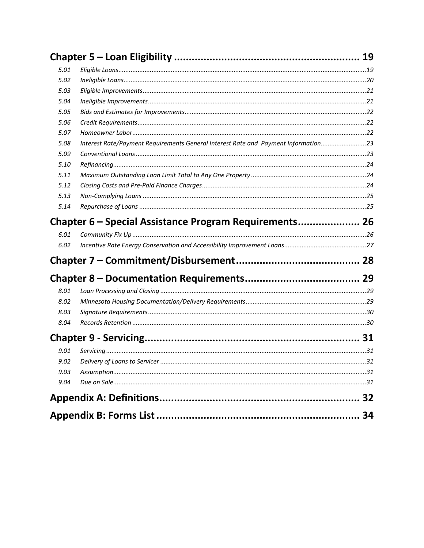| 5.01 |                                                                                    |    |
|------|------------------------------------------------------------------------------------|----|
| 5.02 |                                                                                    |    |
| 5.03 |                                                                                    |    |
| 5.04 |                                                                                    |    |
| 5.05 |                                                                                    |    |
| 5.06 |                                                                                    |    |
| 5.07 |                                                                                    |    |
| 5.08 | Interest Rate/Payment Requirements General Interest Rate and Payment Information23 |    |
| 5.09 |                                                                                    |    |
| 5.10 |                                                                                    |    |
| 5.11 |                                                                                    |    |
| 5.12 |                                                                                    |    |
| 5.13 |                                                                                    |    |
| 5.14 |                                                                                    |    |
|      | Chapter 6 – Special Assistance Program Requirements 26                             |    |
| 6.01 |                                                                                    |    |
| 6.02 |                                                                                    |    |
|      |                                                                                    |    |
|      |                                                                                    |    |
| 8.01 |                                                                                    |    |
| 8.02 |                                                                                    |    |
| 8.03 |                                                                                    |    |
| 8.04 |                                                                                    |    |
|      |                                                                                    |    |
| 9.01 |                                                                                    |    |
| 9.02 |                                                                                    |    |
| 9.03 |                                                                                    |    |
| 9.04 |                                                                                    |    |
|      |                                                                                    |    |
|      |                                                                                    |    |
|      |                                                                                    | 34 |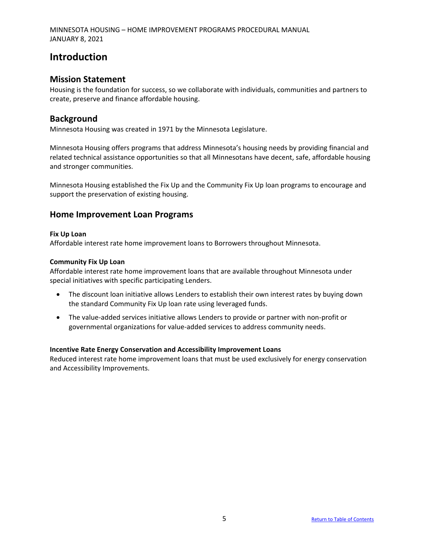# <span id="page-4-0"></span>**Introduction**

#### <span id="page-4-1"></span>**Mission Statement**

Housing is the foundation for success, so we collaborate with individuals, communities and partners to create, preserve and finance affordable housing.

#### <span id="page-4-2"></span>**Background**

Minnesota Housing was created in 1971 by the Minnesota Legislature.

Minnesota Housing offers programs that address Minnesota's housing needs by providing financial and related technical assistance opportunities so that all Minnesotans have decent, safe, affordable housing and stronger communities.

Minnesota Housing established the Fix Up and the Community Fix Up loan programs to encourage and support the preservation of existing housing.

#### <span id="page-4-3"></span>**Home Improvement Loan Programs**

#### **Fix Up Loan**

Affordable interest rate home improvement loans to Borrowers throughout Minnesota.

#### **Community Fix Up Loan**

Affordable interest rate home improvement loans that are available throughout Minnesota under special initiatives with specific participating Lenders.

- The discount loan initiative allows Lenders to establish their own interest rates by buying down the standard Community Fix Up loan rate using leveraged funds.
- The value-added services initiative allows Lenders to provide or partner with non-profit or governmental organizations for value-added services to address community needs.

#### **Incentive Rate Energy Conservation and Accessibility Improvement Loans**

Reduced interest rate home improvement loans that must be used exclusively for energy conservation and Accessibility Improvements.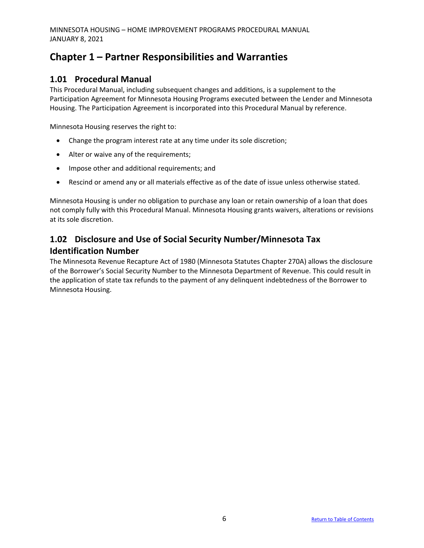# <span id="page-5-0"></span>**Chapter 1 – Partner Responsibilities and Warranties**

## <span id="page-5-1"></span>**1.01 Procedural Manual**

This Procedural Manual, including subsequent changes and additions, is a supplement to the Participation Agreement for Minnesota Housing Programs executed between the Lender and Minnesota Housing. The Participation Agreement is incorporated into this Procedural Manual by reference.

Minnesota Housing reserves the right to:

- Change the program interest rate at any time under its sole discretion;
- Alter or waive any of the requirements;
- Impose other and additional requirements; and
- Rescind or amend any or all materials effective as of the date of issue unless otherwise stated.

Minnesota Housing is under no obligation to purchase any loan or retain ownership of a loan that does not comply fully with this Procedural Manual. Minnesota Housing grants waivers, alterations or revisions at its sole discretion.

# <span id="page-5-2"></span>**1.02 Disclosure and Use of Social Security Number/Minnesota Tax Identification Number**

The Minnesota Revenue Recapture Act of 1980 (Minnesota Statutes Chapter 270A) allows the disclosure of the Borrower's Social Security Number to the Minnesota Department of Revenue. This could result in the application of state tax refunds to the payment of any delinquent indebtedness of the Borrower to Minnesota Housing.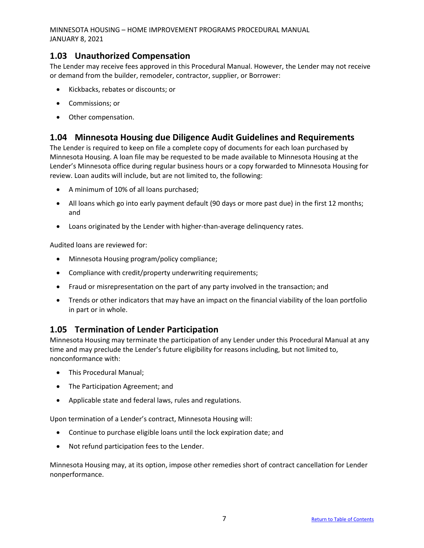### <span id="page-6-0"></span>**1.03 Unauthorized Compensation**

The Lender may receive fees approved in this Procedural Manual. However, the Lender may not receive or demand from the builder, remodeler, contractor, supplier, or Borrower:

- Kickbacks, rebates or discounts; or
- Commissions; or
- Other compensation.

#### <span id="page-6-1"></span>**1.04 Minnesota Housing due Diligence Audit Guidelines and Requirements**

The Lender is required to keep on file a complete copy of documents for each loan purchased by Minnesota Housing. A loan file may be requested to be made available to Minnesota Housing at the Lender's Minnesota office during regular business hours or a copy forwarded to Minnesota Housing for review. Loan audits will include, but are not limited to, the following:

- A minimum of 10% of all loans purchased;
- All loans which go into early payment default (90 days or more past due) in the first 12 months; and
- Loans originated by the Lender with higher-than-average delinquency rates.

Audited loans are reviewed for:

- Minnesota Housing program/policy compliance;
- Compliance with credit/property underwriting requirements;
- Fraud or misrepresentation on the part of any party involved in the transaction; and
- Trends or other indicators that may have an impact on the financial viability of the loan portfolio in part or in whole.

### <span id="page-6-2"></span>**1.05 Termination of Lender Participation**

Minnesota Housing may terminate the participation of any Lender under this Procedural Manual at any time and may preclude the Lender's future eligibility for reasons including, but not limited to, nonconformance with:

- This Procedural Manual;
- The Participation Agreement; and
- Applicable state and federal laws, rules and regulations.

Upon termination of a Lender's contract, Minnesota Housing will:

- Continue to purchase eligible loans until the lock expiration date; and
- Not refund participation fees to the Lender.

Minnesota Housing may, at its option, impose other remedies short of contract cancellation for Lender nonperformance.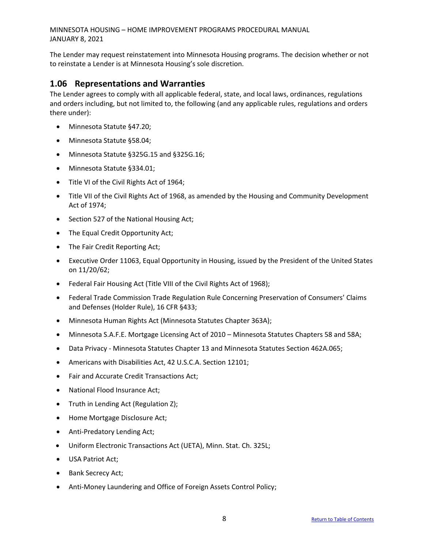The Lender may request reinstatement into Minnesota Housing programs. The decision whether or not to reinstate a Lender is at Minnesota Housing's sole discretion.

#### <span id="page-7-0"></span>**1.06 Representations and Warranties**

The Lender agrees to comply with all applicable federal, state, and local laws, ordinances, regulations and orders including, but not limited to, the following (and any applicable rules, regulations and orders there under):

- Minnesota Statute §47.20;
- Minnesota Statute §58.04;
- Minnesota Statute §325G.15 and §325G.16;
- Minnesota Statute §334.01;
- Title VI of the Civil Rights Act of 1964;
- Title VII of the Civil Rights Act of 1968, as amended by the Housing and Community Development Act of 1974;
- Section 527 of the National Housing Act;
- The Equal Credit Opportunity Act;
- The Fair Credit Reporting Act;
- Executive Order 11063, Equal Opportunity in Housing, issued by the President of the United States on 11/20/62;
- Federal Fair Housing Act (Title VIII of the Civil Rights Act of 1968);
- Federal Trade Commission Trade Regulation Rule Concerning Preservation of Consumers' Claims and Defenses (Holder Rule), 16 CFR §433;
- Minnesota Human Rights Act (Minnesota Statutes Chapter 363A);
- Minnesota S.A.F.E. Mortgage Licensing Act of 2010 Minnesota Statutes Chapters 58 and 58A;
- Data Privacy Minnesota Statutes Chapter 13 and Minnesota Statutes Section 462A.065;
- Americans with Disabilities Act, 42 U.S.C.A. Section 12101;
- Fair and Accurate Credit Transactions Act;
- National Flood Insurance Act;
- Truth in Lending Act (Regulation Z);
- Home Mortgage Disclosure Act;
- Anti-Predatory Lending Act;
- Uniform Electronic Transactions Act (UETA), Minn. Stat. Ch. 325L;
- USA Patriot Act;
- Bank Secrecy Act;
- Anti-Money Laundering and Office of Foreign Assets Control Policy;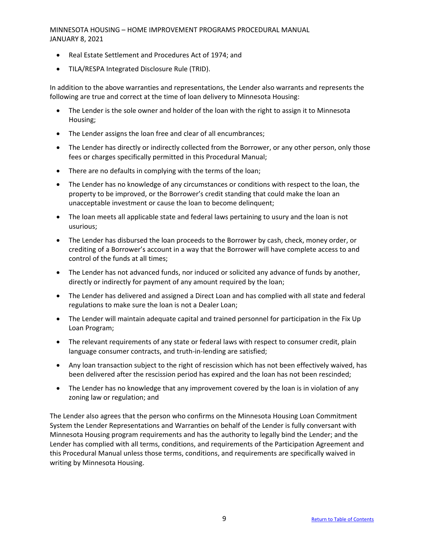- Real Estate Settlement and Procedures Act of 1974; and
- TILA/RESPA Integrated Disclosure Rule (TRID).

In addition to the above warranties and representations, the Lender also warrants and represents the following are true and correct at the time of loan delivery to Minnesota Housing:

- The Lender is the sole owner and holder of the loan with the right to assign it to Minnesota Housing;
- The Lender assigns the loan free and clear of all encumbrances;
- The Lender has directly or indirectly collected from the Borrower, or any other person, only those fees or charges specifically permitted in this Procedural Manual;
- There are no defaults in complying with the terms of the loan;
- The Lender has no knowledge of any circumstances or conditions with respect to the loan, the property to be improved, or the Borrower's credit standing that could make the loan an unacceptable investment or cause the loan to become delinquent;
- The loan meets all applicable state and federal laws pertaining to usury and the loan is not usurious;
- The Lender has disbursed the loan proceeds to the Borrower by cash, check, money order, or crediting of a Borrower's account in a way that the Borrower will have complete access to and control of the funds at all times;
- The Lender has not advanced funds, nor induced or solicited any advance of funds by another, directly or indirectly for payment of any amount required by the loan;
- The Lender has delivered and assigned a Direct Loan and has complied with all state and federal regulations to make sure the loan is not a Dealer Loan;
- The Lender will maintain adequate capital and trained personnel for participation in the Fix Up Loan Program;
- The relevant requirements of any state or federal laws with respect to consumer credit, plain language consumer contracts, and truth-in-lending are satisfied;
- Any loan transaction subject to the right of rescission which has not been effectively waived, has been delivered after the rescission period has expired and the loan has not been rescinded;
- The Lender has no knowledge that any improvement covered by the loan is in violation of any zoning law or regulation; and

The Lender also agrees that the person who confirms on the Minnesota Housing Loan Commitment System the Lender Representations and Warranties on behalf of the Lender is fully conversant with Minnesota Housing program requirements and has the authority to legally bind the Lender; and the Lender has complied with all terms, conditions, and requirements of the Participation Agreement and this Procedural Manual unless those terms, conditions, and requirements are specifically waived in writing by Minnesota Housing.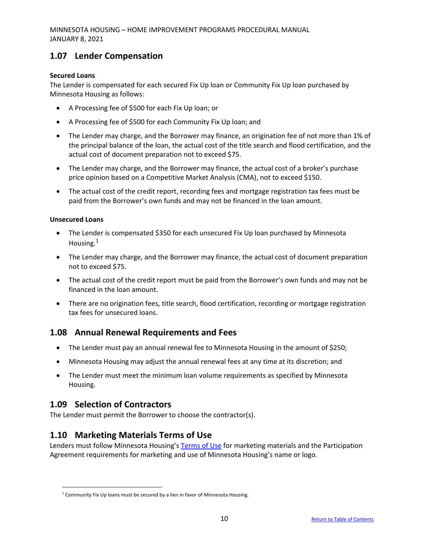# <span id="page-9-0"></span>**1.07 Lender Compensation**

#### **Secured Loans**

The Lender is compensated for each secured Fix Up loan or Community Fix Up loan purchased by Minnesota Housing as follows:

- A Processing fee of \$500 for each Fix Up loan; or
- A Processing fee of \$500 for each Community Fix Up loan; and
- The Lender may charge, and the Borrower may finance, an origination fee of not more than 1% of the principal balance of the loan, the actual cost of the title search and flood certification, and the actual cost of document preparation not to exceed \$75.
- The Lender may charge, and the Borrower may finance, the actual cost of a broker's purchase price opinion based on a Competitive Market Analysis (CMA), not to exceed \$150.
- The actual cost of the credit report, recording fees and mortgage registration tax fees must be paid from the Borrower's own funds and may not be financed in the loan amount.

#### **Unsecured Loans**

- The Lender is compensated \$350 for each unsecured Fix Up loan purchased by Minnesota Housing.<sup>1</sup>
- The Lender may charge, and the Borrower may finance, the actual cost of document preparation not to exceed \$75.
- The actual cost of the credit report must be paid from the Borrower's own funds and may not be financed in the loan amount.
- There are no origination fees, title search, flood certification, recording or mortgage registration tax fees for unsecured loans.

### <span id="page-9-1"></span>**1.08 Annual Renewal Requirements and Fees**

- The Lender must pay an annual renewal fee to Minnesota Housing in the amount of \$250;
- Minnesota Housing may adjust the annual renewal fees at any time at its discretion; and
- The Lender must meet the minimum loan volume requirements as specified by Minnesota Housing.

# <span id="page-9-2"></span>**1.09 Selection of Contractors**

The Lender must permit the Borrower to choose the contractor(s).

### <span id="page-9-3"></span>**1.10 Marketing Materials Terms of Use**

Lenders must follow Minnesota Housing's [Terms of Use](http://www.mnhousing.gov/get/MHFA_010324) for marketing materials and the Participation Agreement requirements for marketing and use of Minnesota Housing's name or logo.

 $1$  Community Fix Up loans must be secured by a lien in favor of Minnesota Housing.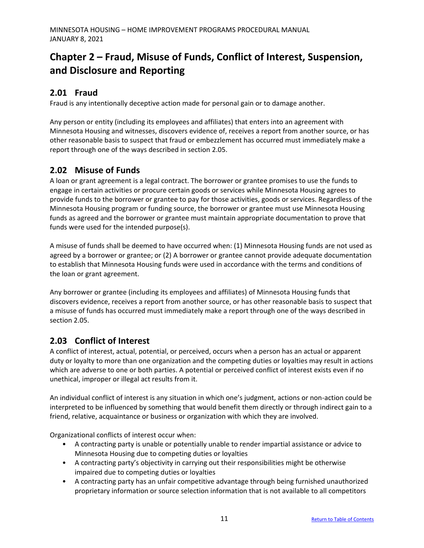# <span id="page-10-0"></span>**Chapter 2 – Fraud, Misuse of Funds, Conflict of Interest, Suspension, and Disclosure and Reporting**

# **2.01 Fraud**

Fraud is any intentionally deceptive action made for personal gain or to damage another.

Any person or entity (including its employees and affiliates) that enters into an agreement with Minnesota Housing and witnesses, discovers evidence of, receives a report from another source, or has other reasonable basis to suspect that fraud or embezzlement has occurred must immediately make a report through one of the ways described in section 2.05.

# **2.02 Misuse of Funds**

A loan or grant agreement is a legal contract. The borrower or grantee promises to use the funds to engage in certain activities or procure certain goods or services while Minnesota Housing agrees to provide funds to the borrower or grantee to pay for those activities, goods or services. Regardless of the Minnesota Housing program or funding source, the borrower or grantee must use Minnesota Housing funds as agreed and the borrower or grantee must maintain appropriate documentation to prove that funds were used for the intended purpose(s).

A misuse of funds shall be deemed to have occurred when: (1) Minnesota Housing funds are not used as agreed by a borrower or grantee; or (2) A borrower or grantee cannot provide adequate documentation to establish that Minnesota Housing funds were used in accordance with the terms and conditions of the loan or grant agreement.

Any borrower or grantee (including its employees and affiliates) of Minnesota Housing funds that discovers evidence, receives a report from another source, or has other reasonable basis to suspect that a misuse of funds has occurred must immediately make a report through one of the ways described in section 2.05.

# **2.03 Conflict of Interest**

A conflict of interest, actual, potential, or perceived, occurs when a person has an actual or apparent duty or loyalty to more than one organization and the competing duties or loyalties may result in actions which are adverse to one or both parties. A potential or perceived conflict of interest exists even if no unethical, improper or illegal act results from it.

An individual conflict of interest is any situation in which one's judgment, actions or non-action could be interpreted to be influenced by something that would benefit them directly or through indirect gain to a friend, relative, acquaintance or business or organization with which they are involved.

Organizational conflicts of interest occur when:

- A contracting party is unable or potentially unable to render impartial assistance or advice to Minnesota Housing due to competing duties or loyalties
- A contracting party's objectivity in carrying out their responsibilities might be otherwise impaired due to competing duties or loyalties
- A contracting party has an unfair competitive advantage through being furnished unauthorized proprietary information or source selection information that is not available to all competitors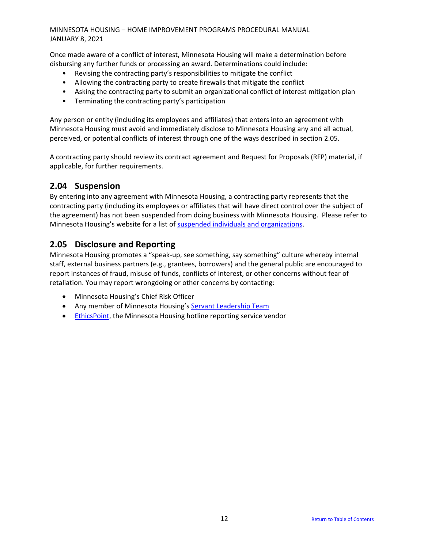Once made aware of a conflict of interest, Minnesota Housing will make a determination before disbursing any further funds or processing an award. Determinations could include:

- Revising the contracting party's responsibilities to mitigate the conflict
- Allowing the contracting party to create firewalls that mitigate the conflict
- Asking the contracting party to submit an organizational conflict of interest mitigation plan
- Terminating the contracting party's participation

Any person or entity (including its employees and affiliates) that enters into an agreement with Minnesota Housing must avoid and immediately disclose to Minnesota Housing any and all actual, perceived, or potential conflicts of interest through one of the ways described in section 2.05.

A contracting party should review its contract agreement and Request for Proposals (RFP) material, if applicable, for further requirements.

### **2.04 Suspension**

By entering into any agreement with Minnesota Housing, a contracting party represents that the contracting party (including its employees or affiliates that will have direct control over the subject of the agreement) has not been suspended from doing business with Minnesota Housing. Please refer to Minnesota Housing's website for a list of [suspended individuals and organizations.](http://www.mnhousing.gov/sites/np/suspensions)

### **2.05 Disclosure and Reporting**

Minnesota Housing promotes a "speak-up, see something, say something" culture whereby internal staff, external business partners (e.g., grantees, borrowers) and the general public are encouraged to report instances of fraud, misuse of funds, conflicts of interest, or other concerns without fear of retaliation. You may report wrongdoing or other concerns by contacting:

- Minnesota Housing's Chief Risk Officer
- Any member of Minnesota Housing's [Servant Leadership Team](http://www.mnhousing.gov/sites/np/leadership)
- [EthicsPoint,](https://secure.ethicspoint.com/domain/media/en/gui/30639/index.html) the Minnesota Housing hotline reporting service vendor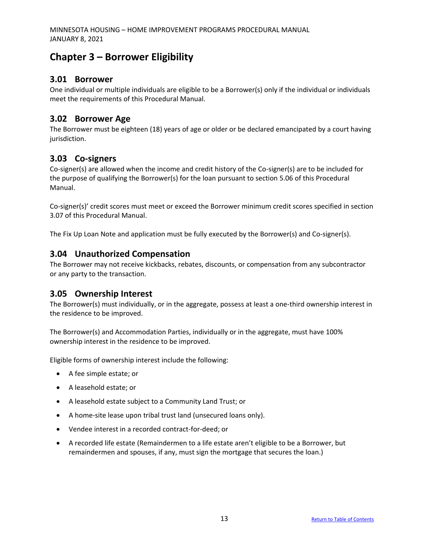# <span id="page-12-0"></span>**Chapter 3 – Borrower Eligibility**

## <span id="page-12-1"></span>**3.01 Borrower**

One individual or multiple individuals are eligible to be a Borrower(s) only if the individual or individuals meet the requirements of this Procedural Manual.

## <span id="page-12-2"></span>**3.02 Borrower Age**

The Borrower must be eighteen (18) years of age or older or be declared emancipated by a court having jurisdiction.

# <span id="page-12-3"></span>**3.03 Co-signers**

Co-signer(s) are allowed when the income and credit history of the Co-signer(s) are to be included for the purpose of qualifying the Borrower(s) for the loan pursuant to section 5.06 of this Procedural Manual.

Co-signer(s)' credit scores must meet or exceed the Borrower minimum credit scores specified in section 3.07 of this Procedural Manual.

The Fix Up Loan Note and application must be fully executed by the Borrower(s) and Co-signer(s).

### <span id="page-12-4"></span>**3.04 Unauthorized Compensation**

The Borrower may not receive kickbacks, rebates, discounts, or compensation from any subcontractor or any party to the transaction.

### <span id="page-12-5"></span>**3.05 Ownership Interest**

The Borrower(s) must individually, or in the aggregate, possess at least a one-third ownership interest in the residence to be improved.

The Borrower(s) and Accommodation Parties, individually or in the aggregate, must have 100% ownership interest in the residence to be improved.

Eligible forms of ownership interest include the following:

- A fee simple estate; or
- A leasehold estate; or
- A leasehold estate subject to a Community Land Trust; or
- A home-site lease upon tribal trust land (unsecured loans only).
- Vendee interest in a recorded contract-for-deed; or
- A recorded life estate (Remaindermen to a life estate aren't eligible to be a Borrower, but remaindermen and spouses, if any, must sign the mortgage that secures the loan.)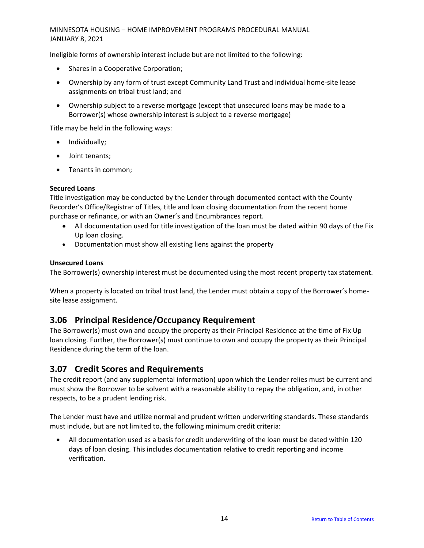Ineligible forms of ownership interest include but are not limited to the following:

- Shares in a Cooperative Corporation;
- Ownership by any form of trust except Community Land Trust and individual home-site lease assignments on tribal trust land; and
- Ownership subject to a reverse mortgage (except that unsecured loans may be made to a Borrower(s) whose ownership interest is subject to a reverse mortgage)

Title may be held in the following ways:

- Individually;
- Joint tenants;
- Tenants in common;

#### **Secured Loans**

Title investigation may be conducted by the Lender through documented contact with the County Recorder's Office/Registrar of Titles, title and loan closing documentation from the recent home purchase or refinance, or with an Owner's and Encumbrances report.

- All documentation used for title investigation of the loan must be dated within 90 days of the Fix Up loan closing.
- Documentation must show all existing liens against the property

#### **Unsecured Loans**

The Borrower(s) ownership interest must be documented using the most recent property tax statement.

When a property is located on tribal trust land, the Lender must obtain a copy of the Borrower's homesite lease assignment.

#### <span id="page-13-0"></span>**3.06 Principal Residence/Occupancy Requirement**

The Borrower(s) must own and occupy the property as their Principal Residence at the time of Fix Up loan closing. Further, the Borrower(s) must continue to own and occupy the property as their Principal Residence during the term of the loan.

### <span id="page-13-1"></span>**3.07 Credit Scores and Requirements**

The credit report (and any supplemental information) upon which the Lender relies must be current and must show the Borrower to be solvent with a reasonable ability to repay the obligation, and, in other respects, to be a prudent lending risk.

The Lender must have and utilize normal and prudent written underwriting standards. These standards must include, but are not limited to, the following minimum credit criteria:

• All documentation used as a basis for credit underwriting of the loan must be dated within 120 days of loan closing. This includes documentation relative to credit reporting and income verification.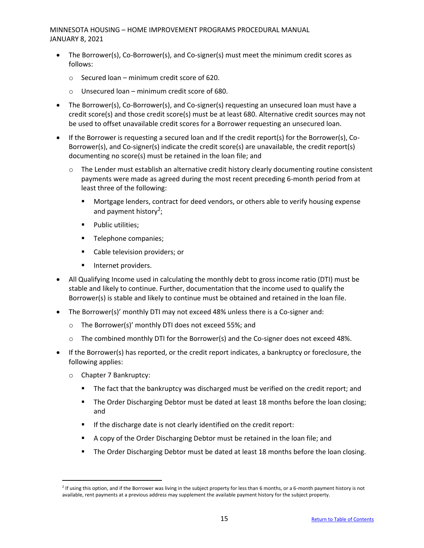- The Borrower(s), Co-Borrower(s), and Co-signer(s) must meet the minimum credit scores as follows:
	- $\circ$  Secured loan minimum credit score of 620.
	- o Unsecured loan minimum credit score of 680.
- The Borrower(s), Co-Borrower(s), and Co-signer(s) requesting an unsecured loan must have a credit score(s) and those credit score(s) must be at least 680. Alternative credit sources may not be used to offset unavailable credit scores for a Borrower requesting an unsecured loan.
- If the Borrower is requesting a secured loan and If the credit report(s) for the Borrower(s), Co-Borrower(s), and Co-signer(s) indicate the credit score(s) are unavailable, the credit report(s) documenting no score(s) must be retained in the loan file; and
	- $\circ$  The Lender must establish an alternative credit history clearly documenting routine consistent payments were made as agreed during the most recent preceding 6-month period from at least three of the following:
		- **■** Mortgage lenders, contract for deed vendors, or others able to verify housing expense and payment history<sup>2</sup>;
		- Public utilities;
		- Telephone companies;
		- Cable television providers; or
		- **■** Internet providers.
- All Qualifying Income used in calculating the monthly debt to gross income ratio (DTI) must be stable and likely to continue. Further, documentation that the income used to qualify the Borrower(s) is stable and likely to continue must be obtained and retained in the loan file.
- The Borrower(s)' monthly DTI may not exceed 48% unless there is a Co-signer and:
	- o The Borrower(s)' monthly DTI does not exceed 55%; and
	- o The combined monthly DTI for the Borrower(s) and the Co-signer does not exceed 48%.
- If the Borrower(s) has reported, or the credit report indicates, a bankruptcy or foreclosure, the following applies:
	- o Chapter 7 Bankruptcy:
		- The fact that the bankruptcy was discharged must be verified on the credit report; and
		- **The Order Discharging Debtor must be dated at least 18 months before the loan closing;** and
		- If the discharge date is not clearly identified on the credit report:
		- A copy of the Order Discharging Debtor must be retained in the loan file; and
		- **•** The Order Discharging Debtor must be dated at least 18 months before the loan closing.

<sup>&</sup>lt;sup>2</sup> If using this option, and if the Borrower was living in the subject property for less than 6 months, or a 6-month payment history is not available, rent payments at a previous address may supplement the available payment history for the subject property.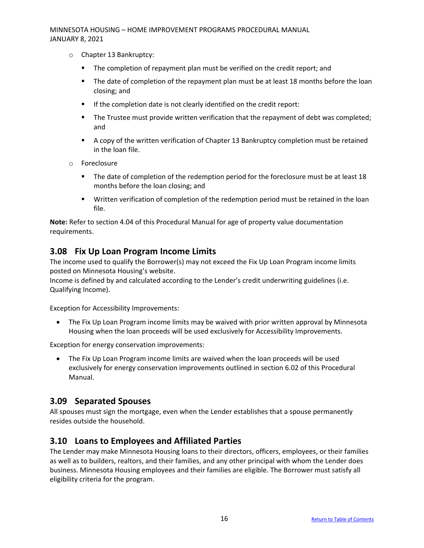- o Chapter 13 Bankruptcy:
	- **E** The completion of repayment plan must be verified on the credit report; and
	- **•** The date of completion of the repayment plan must be at least 18 months before the loan closing; and
	- If the completion date is not clearly identified on the credit report:
	- **■** The Trustee must provide written verification that the repayment of debt was completed; and
	- A copy of the written verification of Chapter 13 Bankruptcy completion must be retained in the loan file.
- o Foreclosure
	- The date of completion of the redemption period for the foreclosure must be at least 18 months before the loan closing; and
	- **■** Written verification of completion of the redemption period must be retained in the loan file.

**Note:** Refer to section 4.04 of this Procedural Manual for age of property value documentation requirements.

#### <span id="page-15-0"></span>**3.08 Fix Up Loan Program Income Limits**

The income used to qualify the Borrower(s) may not exceed the Fix Up Loan Program income limits posted on Minnesota Housing's website.

Income is defined by and calculated according to the Lender's credit underwriting guidelines (i.e. Qualifying Income).

Exception for Accessibility Improvements:

• The Fix Up Loan Program income limits may be waived with prior written approval by Minnesota Housing when the loan proceeds will be used exclusively for Accessibility Improvements.

Exception for energy conservation improvements:

• The Fix Up Loan Program income limits are waived when the loan proceeds will be used exclusively for energy conservation improvements outlined in section 6.02 of this Procedural Manual.

#### <span id="page-15-1"></span>**3.09 Separated Spouses**

All spouses must sign the mortgage, even when the Lender establishes that a spouse permanently resides outside the household.

#### <span id="page-15-2"></span>**3.10 Loans to Employees and Affiliated Parties**

The Lender may make Minnesota Housing loans to their directors, officers, employees, or their families as well as to builders, realtors, and their families, and any other principal with whom the Lender does business. Minnesota Housing employees and their families are eligible. The Borrower must satisfy all eligibility criteria for the program.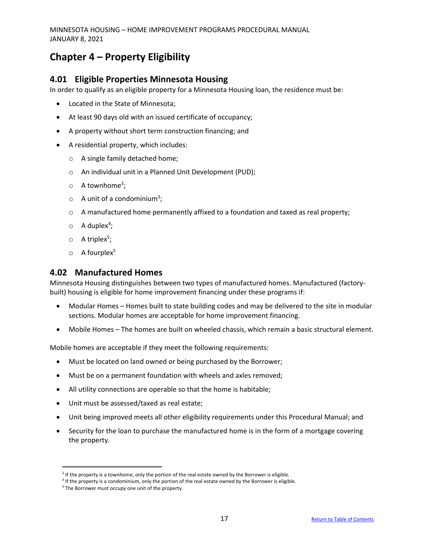# <span id="page-16-0"></span>**Chapter 4 – Property Eligibility**

#### <span id="page-16-1"></span>**4.01 Eligible Properties Minnesota Housing**

In order to qualify as an eligible property for a Minnesota Housing loan, the residence must be:

- Located in the State of Minnesota;
- At least 90 days old with an issued certificate of occupancy;
- A property without short term construction financing; and
- A residential property, which includes:
	- o A single family detached home;
	- o An individual unit in a Planned Unit Development (PUD);
	- $\circ$  A townhome<sup>3</sup>;
	- $\circ$  A unit of a condominium<sup>3</sup>;
	- $\circ$  A manufactured home permanently affixed to a foundation and taxed as real property;
	- $\circ$  A duplex<sup>4</sup>;
	- $\circ$  A triplex<sup>5</sup>;
	- $\circ$  A fourplex<sup>5</sup>

#### <span id="page-16-2"></span>**4.02 Manufactured Homes**

Minnesota Housing distinguishes between two types of manufactured homes. Manufactured (factorybuilt) housing is eligible for home improvement financing under these programs if:

- Modular Homes Homes built to state building codes and may be delivered to the site in modular sections. Modular homes are acceptable for home improvement financing.
- Mobile Homes The homes are built on wheeled chassis, which remain a basic structural element.

Mobile homes are acceptable if they meet the following requirements:

- Must be located on land owned or being purchased by the Borrower;
- Must be on a permanent foundation with wheels and axles removed;
- All utility connections are operable so that the home is habitable;
- Unit must be assessed/taxed as real estate;
- Unit being improved meets all other eligibility requirements under this Procedural Manual; and
- Security for the loan to purchase the manufactured home is in the form of a mortgage covering the property.

<sup>&</sup>lt;sup>3</sup> If the property is a townhome, only the portion of the real estate owned by the Borrower is eligible.

<sup>4</sup> If the property is a condominium, only the portion of the real estate owned by the Borrower is eligible.

<sup>&</sup>lt;sup>5</sup> The Borrower must occupy one unit of the property.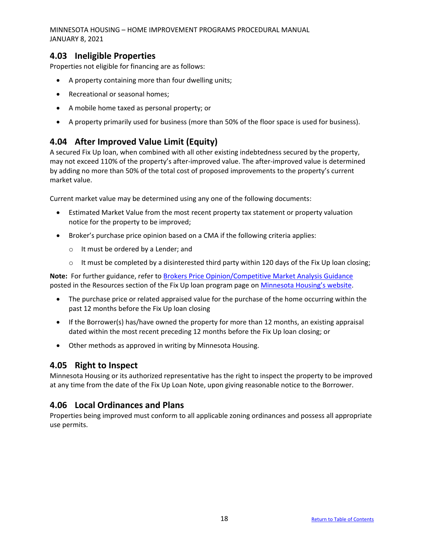### <span id="page-17-0"></span>**4.03 Ineligible Properties**

Properties not eligible for financing are as follows:

- A property containing more than four dwelling units;
- Recreational or seasonal homes;
- A mobile home taxed as personal property; or
- A property primarily used for business (more than 50% of the floor space is used for business).

### <span id="page-17-1"></span>**4.04 After Improved Value Limit (Equity)**

A secured Fix Up loan, when combined with all other existing indebtedness secured by the property, may not exceed 110% of the property's after-improved value. The after-improved value is determined by adding no more than 50% of the total cost of proposed improvements to the property's current market value.

Current market value may be determined using any one of the following documents:

- Estimated Market Value from the most recent property tax statement or property valuation notice for the property to be improved;
- Broker's purchase price opinion based on a CMA if the following criteria applies:
	- o It must be ordered by a Lender; and
	- $\circ$  It must be completed by a disinterested third party within 120 days of the Fix Up loan closing;

**Note:** For further guidance, refer to [Brokers Price Opinion/Competitive Market Analysis Guidance](http://www.mnhousing.gov/download/MHFA_1017174) posted in the Resources section of the Fix Up loan program page on [Minnesota Housing's website](http://www.mnhousing.gov/).

- The purchase price or related appraised value for the purchase of the home occurring within the past 12 months before the Fix Up loan closing
- If the Borrower(s) has/have owned the property for more than 12 months, an existing appraisal dated within the most recent preceding 12 months before the Fix Up loan closing; or
- Other methods as approved in writing by Minnesota Housing.

### <span id="page-17-2"></span>**4.05 Right to Inspect**

Minnesota Housing or its authorized representative has the right to inspect the property to be improved at any time from the date of the Fix Up Loan Note, upon giving reasonable notice to the Borrower.

### <span id="page-17-3"></span>**4.06 Local Ordinances and Plans**

Properties being improved must conform to all applicable zoning ordinances and possess all appropriate use permits.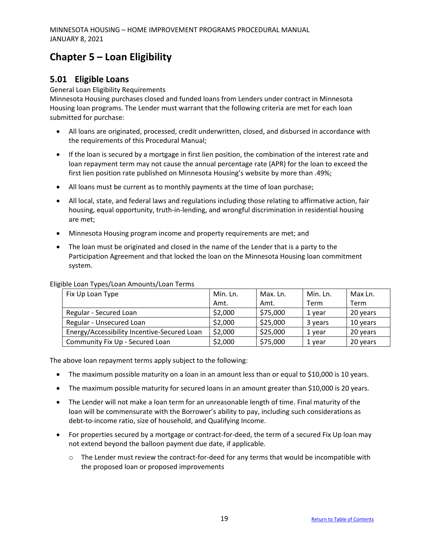# <span id="page-18-0"></span>**Chapter 5 – Loan Eligibility**

## <span id="page-18-1"></span>**5.01 Eligible Loans**

#### General Loan Eligibility Requirements

Minnesota Housing purchases closed and funded loans from Lenders under contract in Minnesota Housing loan programs. The Lender must warrant that the following criteria are met for each loan submitted for purchase:

- All loans are originated, processed, credit underwritten, closed, and disbursed in accordance with the requirements of this Procedural Manual;
- If the loan is secured by a mortgage in first lien position, the combination of the interest rate and loan repayment term may not cause the annual percentage rate (APR) for the loan to exceed the first lien position rate published on Minnesota Housing's website by more than .49%;
- All loans must be current as to monthly payments at the time of loan purchase;
- All local, state, and federal laws and regulations including those relating to affirmative action, fair housing, equal opportunity, truth-in-lending, and wrongful discrimination in residential housing are met;
- Minnesota Housing program income and property requirements are met; and
- The loan must be originated and closed in the name of the Lender that is a party to the Participation Agreement and that locked the loan on the Minnesota Housing loan commitment system.

| Fix Up Loan Type                            | Min. Ln. | Max. Ln. | Min. Ln. | Max Ln.  |
|---------------------------------------------|----------|----------|----------|----------|
|                                             | Amt.     | Amt.     | Term     | Term     |
| Regular - Secured Loan                      | \$2,000  | \$75,000 | 1 year   | 20 years |
| Regular - Unsecured Loan                    | \$2,000  | \$25,000 | 3 years  | 10 years |
| Energy/Accessibility Incentive-Secured Loan | \$2,000  | \$25,000 | 1 year   | 20 years |
| Community Fix Up - Secured Loan             | \$2,000  | \$75,000 | 1 year   | 20 years |

#### Eligible Loan Types/Loan Amounts/Loan Terms

The above loan repayment terms apply subject to the following:

- The maximum possible maturity on a loan in an amount less than or equal to \$10,000 is 10 years.
- The maximum possible maturity for secured loans in an amount greater than \$10,000 is 20 years.
- The Lender will not make a loan term for an unreasonable length of time. Final maturity of the loan will be commensurate with the Borrower's ability to pay, including such considerations as debt-to-income ratio, size of household, and Qualifying Income.
- For properties secured by a mortgage or contract-for-deed, the term of a secured Fix Up loan may not extend beyond the balloon payment due date, if applicable.
	- $\circ$  The Lender must review the contract-for-deed for any terms that would be incompatible with the proposed loan or proposed improvements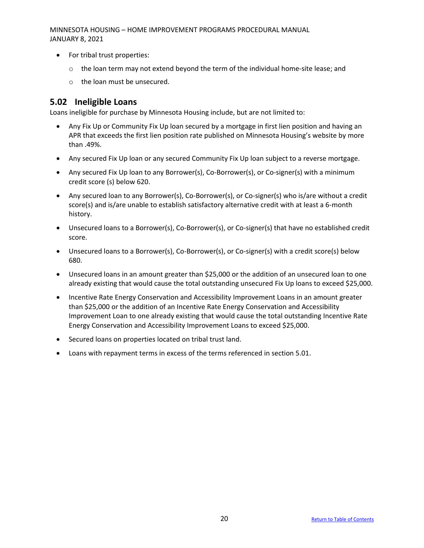- For tribal trust properties:
	- $\circ$  the loan term may not extend beyond the term of the individual home-site lease; and
	- o the loan must be unsecured.

#### <span id="page-19-0"></span>**5.02 Ineligible Loans**

Loans ineligible for purchase by Minnesota Housing include, but are not limited to:

- Any Fix Up or Community Fix Up loan secured by a mortgage in first lien position and having an APR that exceeds the first lien position rate published on Minnesota Housing's website by more than .49%.
- Any secured Fix Up loan or any secured Community Fix Up loan subject to a reverse mortgage.
- Any secured Fix Up loan to any Borrower(s), Co-Borrower(s), or Co-signer(s) with a minimum credit score (s) below 620.
- Any secured loan to any Borrower(s), Co-Borrower(s), or Co-signer(s) who is/are without a credit score(s) and is/are unable to establish satisfactory alternative credit with at least a 6-month history.
- Unsecured loans to a Borrower(s), Co-Borrower(s), or Co-signer(s) that have no established credit score.
- Unsecured loans to a Borrower(s), Co-Borrower(s), or Co-signer(s) with a credit score(s) below 680.
- Unsecured loans in an amount greater than \$25,000 or the addition of an unsecured loan to one already existing that would cause the total outstanding unsecured Fix Up loans to exceed \$25,000.
- Incentive Rate Energy Conservation and Accessibility Improvement Loans in an amount greater than \$25,000 or the addition of an Incentive Rate Energy Conservation and Accessibility Improvement Loan to one already existing that would cause the total outstanding Incentive Rate Energy Conservation and Accessibility Improvement Loans to exceed \$25,000.
- Secured loans on properties located on tribal trust land.
- Loans with repayment terms in excess of the terms referenced in section 5.01.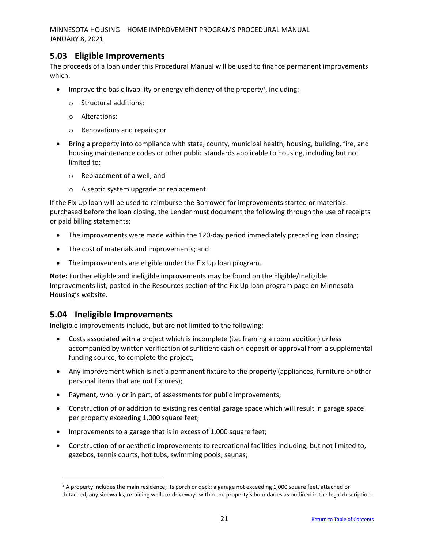#### <span id="page-20-0"></span>**5.03 Eligible Improvements**

The proceeds of a loan under this Procedural Manual will be used to finance permanent improvements which:

- Improve the basic livability or energy efficiency of the property<sup>5</sup>, including:
	- o Structural additions;
	- o Alterations;
	- o Renovations and repairs; or
- Bring a property into compliance with state, county, municipal health, housing, building, fire, and housing maintenance codes or other public standards applicable to housing, including but not limited to:
	- o Replacement of a well; and
	- o A septic system upgrade or replacement.

If the Fix Up loan will be used to reimburse the Borrower for improvements started or materials purchased before the loan closing, the Lender must document the following through the use of receipts or paid billing statements:

- The improvements were made within the 120-day period immediately preceding loan closing;
- The cost of materials and improvements; and
- The improvements are eligible under the Fix Up loan program.

**Note:** Further eligible and ineligible improvements may be found on the Eligible/Ineligible Improvements list, posted in the Resources section of the Fix Up loan program page on Minnesota Housing's website.

#### <span id="page-20-1"></span>**5.04 Ineligible Improvements**

Ineligible improvements include, but are not limited to the following:

- Costs associated with a project which is incomplete (i.e. framing a room addition) unless accompanied by written verification of sufficient cash on deposit or approval from a supplemental funding source, to complete the project;
- Any improvement which is not a permanent fixture to the property (appliances, furniture or other personal items that are not fixtures);
- Payment, wholly or in part, of assessments for public improvements;
- Construction of or addition to existing residential garage space which will result in garage space per property exceeding 1,000 square feet;
- Improvements to a garage that is in excess of 1,000 square feet;
- Construction of or aesthetic improvements to recreational facilities including, but not limited to, gazebos, tennis courts, hot tubs, swimming pools, saunas;

<sup>&</sup>lt;sup>5</sup> A property includes the main residence; its porch or deck; a garage not exceeding 1,000 square feet, attached or detached; any sidewalks, retaining walls or driveways within the property's boundaries as outlined in the legal description.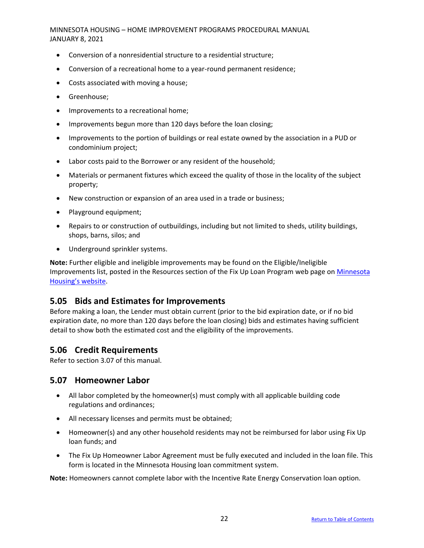- Conversion of a nonresidential structure to a residential structure;
- Conversion of a recreational home to a year-round permanent residence;
- Costs associated with moving a house;
- Greenhouse;
- Improvements to a recreational home;
- Improvements begun more than 120 days before the loan closing;
- Improvements to the portion of buildings or real estate owned by the association in a PUD or condominium project;
- Labor costs paid to the Borrower or any resident of the household;
- Materials or permanent fixtures which exceed the quality of those in the locality of the subject property;
- New construction or expansion of an area used in a trade or business;
- Playground equipment;
- Repairs to or construction of outbuildings, including but not limited to sheds, utility buildings, shops, barns, silos; and
- Underground sprinkler systems.

**Note:** Further eligible and ineligible improvements may be found on the Eligible/Ineligible Improvements list, posted in the Resources section of the Fix Up Loan Program web page on [Minnesota](http://www.mnhousing.gov/)  [Housing's website](http://www.mnhousing.gov/).

### <span id="page-21-0"></span>**5.05 Bids and Estimates for Improvements**

Before making a loan, the Lender must obtain current (prior to the bid expiration date, or if no bid expiration date, no more than 120 days before the loan closing) bids and estimates having sufficient detail to show both the estimated cost and the eligibility of the improvements.

### <span id="page-21-1"></span>**5.06 Credit Requirements**

Refer to section 3.07 of this manual.

#### <span id="page-21-2"></span>**5.07 Homeowner Labor**

- All labor completed by the homeowner(s) must comply with all applicable building code regulations and ordinances;
- All necessary licenses and permits must be obtained;
- Homeowner(s) and any other household residents may not be reimbursed for labor using Fix Up loan funds; and
- The Fix Up Homeowner Labor Agreement must be fully executed and included in the loan file. This form is located in the Minnesota Housing loan commitment system.

**Note:** Homeowners cannot complete labor with the Incentive Rate Energy Conservation loan option.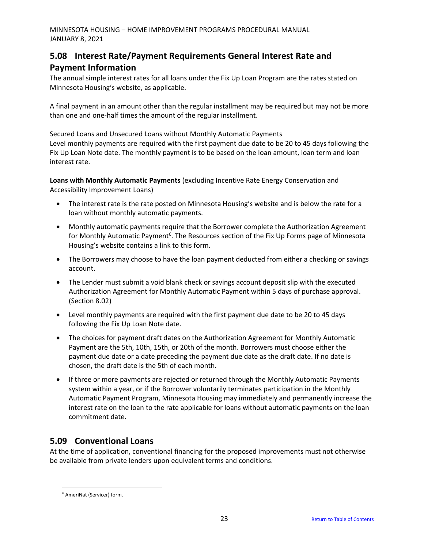# <span id="page-22-0"></span>**5.08 Interest Rate/Payment Requirements General Interest Rate and Payment Information**

The annual simple interest rates for all loans under the Fix Up Loan Program are the rates stated on Minnesota Housing's website, as applicable.

A final payment in an amount other than the regular installment may be required but may not be more than one and one-half times the amount of the regular installment.

Secured Loans and Unsecured Loans without Monthly Automatic Payments Level monthly payments are required with the first payment due date to be 20 to 45 days following the Fix Up Loan Note date. The monthly payment is to be based on the loan amount, loan term and loan interest rate.

**Loans with Monthly Automatic Payments** (excluding Incentive Rate Energy Conservation and Accessibility Improvement Loans)

- The interest rate is the rate posted on Minnesota Housing's website and is below the rate for a loan without monthly automatic payments.
- Monthly automatic payments require that the Borrower complete the Authorization Agreement for Monthly Automatic Payment<sup>6</sup>. The Resources section of the Fix Up Forms page of Minnesota Housing's website contains a link to this form.
- The Borrowers may choose to have the loan payment deducted from either a checking or savings account.
- The Lender must submit a void blank check or savings account deposit slip with the executed Authorization Agreement for Monthly Automatic Payment within 5 days of purchase approval. (Section 8.02)
- Level monthly payments are required with the first payment due date to be 20 to 45 days following the Fix Up Loan Note date.
- The choices for payment draft dates on the Authorization Agreement for Monthly Automatic Payment are the 5th, 10th, 15th, or 20th of the month. Borrowers must choose either the payment due date or a date preceding the payment due date as the draft date. If no date is chosen, the draft date is the 5th of each month.
- If three or more payments are rejected or returned through the Monthly Automatic Payments system within a year, or if the Borrower voluntarily terminates participation in the Monthly Automatic Payment Program, Minnesota Housing may immediately and permanently increase the interest rate on the loan to the rate applicable for loans without automatic payments on the loan commitment date.

# <span id="page-22-1"></span>**5.09 Conventional Loans**

At the time of application, conventional financing for the proposed improvements must not otherwise be available from private lenders upon equivalent terms and conditions.

<sup>6</sup> AmeriNat (Servicer) form.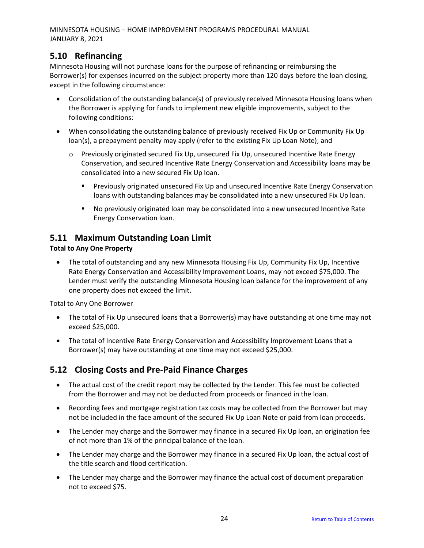# <span id="page-23-0"></span>**5.10 Refinancing**

Minnesota Housing will not purchase loans for the purpose of refinancing or reimbursing the Borrower(s) for expenses incurred on the subject property more than 120 days before the loan closing, except in the following circumstance:

- Consolidation of the outstanding balance(s) of previously received Minnesota Housing loans when the Borrower is applying for funds to implement new eligible improvements, subject to the following conditions:
- When consolidating the outstanding balance of previously received Fix Up or Community Fix Up loan(s), a prepayment penalty may apply (refer to the existing Fix Up Loan Note); and
	- $\circ$  Previously originated secured Fix Up, unsecured Fix Up, unsecured Incentive Rate Energy Conservation, and secured Incentive Rate Energy Conservation and Accessibility loans may be consolidated into a new secured Fix Up loan.
		- Previously originated unsecured Fix Up and unsecured Incentive Rate Energy Conservation loans with outstanding balances may be consolidated into a new unsecured Fix Up loan.
		- No previously originated loan may be consolidated into a new unsecured Incentive Rate Energy Conservation loan.

### <span id="page-23-1"></span>**5.11 Maximum Outstanding Loan Limit**

#### **Total to Any One Property**

• The total of outstanding and any new Minnesota Housing Fix Up, Community Fix Up, Incentive Rate Energy Conservation and Accessibility Improvement Loans, may not exceed \$75,000. The Lender must verify the outstanding Minnesota Housing loan balance for the improvement of any one property does not exceed the limit.

Total to Any One Borrower

- The total of Fix Up unsecured loans that a Borrower(s) may have outstanding at one time may not exceed \$25,000.
- The total of Incentive Rate Energy Conservation and Accessibility Improvement Loans that a Borrower(s) may have outstanding at one time may not exceed \$25,000.

# <span id="page-23-2"></span>**5.12 Closing Costs and Pre-Paid Finance Charges**

- The actual cost of the credit report may be collected by the Lender. This fee must be collected from the Borrower and may not be deducted from proceeds or financed in the loan.
- Recording fees and mortgage registration tax costs may be collected from the Borrower but may not be included in the face amount of the secured Fix Up Loan Note or paid from loan proceeds.
- The Lender may charge and the Borrower may finance in a secured Fix Up loan, an origination fee of not more than 1% of the principal balance of the loan.
- The Lender may charge and the Borrower may finance in a secured Fix Up loan, the actual cost of the title search and flood certification.
- The Lender may charge and the Borrower may finance the actual cost of document preparation not to exceed \$75.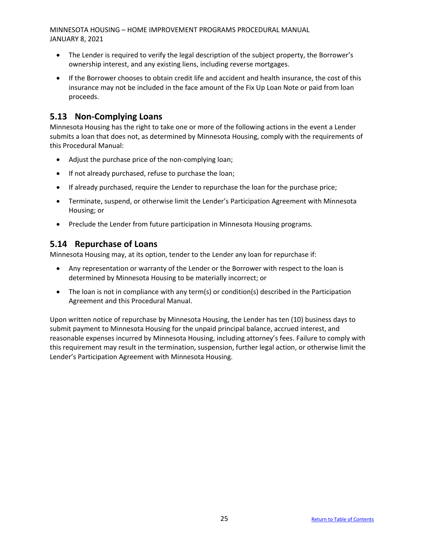- The Lender is required to verify the legal description of the subject property, the Borrower's ownership interest, and any existing liens, including reverse mortgages.
- If the Borrower chooses to obtain credit life and accident and health insurance, the cost of this insurance may not be included in the face amount of the Fix Up Loan Note or paid from loan proceeds.

# <span id="page-24-0"></span>**5.13 Non-Complying Loans**

Minnesota Housing has the right to take one or more of the following actions in the event a Lender submits a loan that does not, as determined by Minnesota Housing, comply with the requirements of this Procedural Manual:

- Adjust the purchase price of the non-complying loan;
- If not already purchased, refuse to purchase the loan;
- If already purchased, require the Lender to repurchase the loan for the purchase price;
- Terminate, suspend, or otherwise limit the Lender's Participation Agreement with Minnesota Housing; or
- Preclude the Lender from future participation in Minnesota Housing programs.

### <span id="page-24-1"></span>**5.14 Repurchase of Loans**

Minnesota Housing may, at its option, tender to the Lender any loan for repurchase if:

- Any representation or warranty of the Lender or the Borrower with respect to the loan is determined by Minnesota Housing to be materially incorrect; or
- The loan is not in compliance with any term(s) or condition(s) described in the Participation Agreement and this Procedural Manual.

Upon written notice of repurchase by Minnesota Housing, the Lender has ten (10) business days to submit payment to Minnesota Housing for the unpaid principal balance, accrued interest, and reasonable expenses incurred by Minnesota Housing, including attorney's fees. Failure to comply with this requirement may result in the termination, suspension, further legal action, or otherwise limit the Lender's Participation Agreement with Minnesota Housing.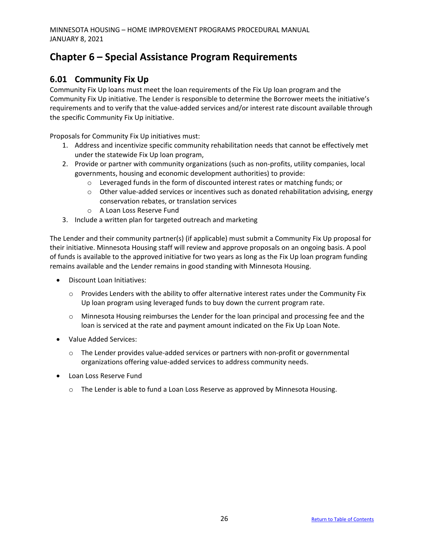# <span id="page-25-0"></span>**Chapter 6 – Special Assistance Program Requirements**

# <span id="page-25-1"></span>**6.01 Community Fix Up**

Community Fix Up loans must meet the loan requirements of the Fix Up loan program and the Community Fix Up initiative. The Lender is responsible to determine the Borrower meets the initiative's requirements and to verify that the value-added services and/or interest rate discount available through the specific Community Fix Up initiative.

Proposals for Community Fix Up initiatives must:

- 1. Address and incentivize specific community rehabilitation needs that cannot be effectively met under the statewide Fix Up loan program,
- 2. Provide or partner with community organizations (such as non-profits, utility companies, local governments, housing and economic development authorities) to provide:
	- $\circ$  Leveraged funds in the form of discounted interest rates or matching funds; or
	- $\circ$  Other value-added services or incentives such as donated rehabilitation advising, energy conservation rebates, or translation services
	- o A Loan Loss Reserve Fund
- 3. Include a written plan for targeted outreach and marketing

The Lender and their community partner(s) (if applicable) must submit a Community Fix Up proposal for their initiative. Minnesota Housing staff will review and approve proposals on an ongoing basis. A pool of funds is available to the approved initiative for two years as long as the Fix Up loan program funding remains available and the Lender remains in good standing with Minnesota Housing.

- Discount Loan Initiatives:
	- $\circ$  Provides Lenders with the ability to offer alternative interest rates under the Community Fix Up loan program using leveraged funds to buy down the current program rate.
	- $\circ$  Minnesota Housing reimburses the Lender for the loan principal and processing fee and the loan is serviced at the rate and payment amount indicated on the Fix Up Loan Note.
- Value Added Services:
	- o The Lender provides value-added services or partners with non-profit or governmental organizations offering value-added services to address community needs.
- Loan Loss Reserve Fund
	- $\circ$  The Lender is able to fund a Loan Loss Reserve as approved by Minnesota Housing.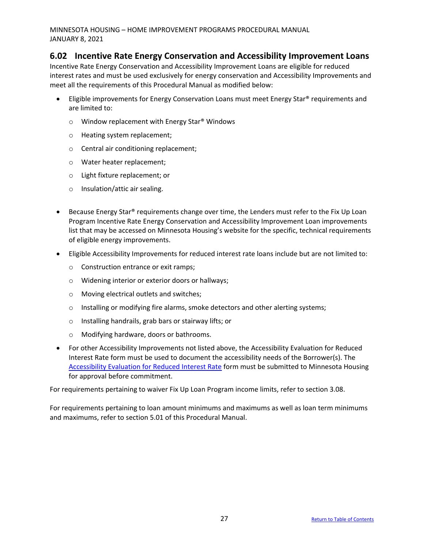#### <span id="page-26-0"></span>**6.02 Incentive Rate Energy Conservation and Accessibility Improvement Loans**

Incentive Rate Energy Conservation and Accessibility Improvement Loans are eligible for reduced interest rates and must be used exclusively for energy conservation and Accessibility Improvements and meet all the requirements of this Procedural Manual as modified below:

- Eligible improvements for Energy Conservation Loans must meet Energy Star® requirements and are limited to:
	- o Window replacement with Energy Star® Windows
	- o Heating system replacement;
	- o Central air conditioning replacement;
	- o Water heater replacement;
	- o Light fixture replacement; or
	- o Insulation/attic air sealing.
- Because Energy Star<sup>®</sup> requirements change over time, the Lenders must refer to the Fix Up Loan Program Incentive Rate Energy Conservation and Accessibility Improvement Loan improvements list that may be accessed on Minnesota Housing's website for the specific, technical requirements of eligible energy improvements.
- Eligible Accessibility Improvements for reduced interest rate loans include but are not limited to:
	- o Construction entrance or exit ramps;
	- o Widening interior or exterior doors or hallways;
	- o Moving electrical outlets and switches;
	- o Installing or modifying fire alarms, smoke detectors and other alerting systems;
	- o Installing handrails, grab bars or stairway lifts; or
	- o Modifying hardware, doors or bathrooms.
- For other Accessibility Improvements not listed above, the Accessibility Evaluation for Reduced Interest Rate form must be used to document the accessibility needs of the Borrower(s). The [Accessibility Evaluation for Reduced Interest Rate](http://www.mnhousing.gov/get/mhfa_012499) form must be submitted to Minnesota Housing for approval before commitment.

For requirements pertaining to waiver Fix Up Loan Program income limits, refer to section 3.08.

For requirements pertaining to loan amount minimums and maximums as well as loan term minimums and maximums, refer to section 5.01 of this Procedural Manual.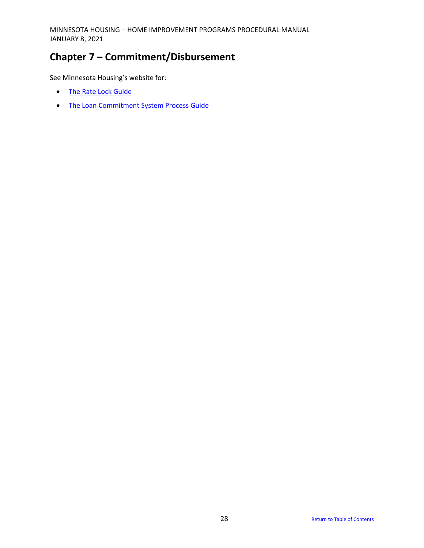# <span id="page-27-0"></span>**Chapter 7 – Commitment/Disbursement**

See Minnesota Housing's website for:

- [The Rate Lock Guide](http://www.mnhousing.gov/get/mhfa_1043561)
- [The Loan Commitment System Process Guide](http://www.mnhousing.gov/np/commitments)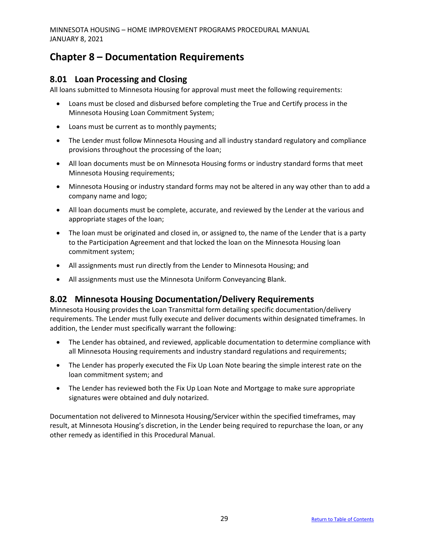# <span id="page-28-0"></span>**Chapter 8 – Documentation Requirements**

## <span id="page-28-1"></span>**8.01 Loan Processing and Closing**

All loans submitted to Minnesota Housing for approval must meet the following requirements:

- Loans must be closed and disbursed before completing the True and Certify process in the Minnesota Housing Loan Commitment System;
- Loans must be current as to monthly payments;
- The Lender must follow Minnesota Housing and all industry standard regulatory and compliance provisions throughout the processing of the loan;
- All loan documents must be on Minnesota Housing forms or industry standard forms that meet Minnesota Housing requirements;
- Minnesota Housing or industry standard forms may not be altered in any way other than to add a company name and logo;
- All loan documents must be complete, accurate, and reviewed by the Lender at the various and appropriate stages of the loan;
- The loan must be originated and closed in, or assigned to, the name of the Lender that is a party to the Participation Agreement and that locked the loan on the Minnesota Housing loan commitment system;
- All assignments must run directly from the Lender to Minnesota Housing; and
- All assignments must use the Minnesota Uniform Conveyancing Blank.

# <span id="page-28-2"></span>**8.02 Minnesota Housing Documentation/Delivery Requirements**

Minnesota Housing provides the Loan Transmittal form detailing specific documentation/delivery requirements. The Lender must fully execute and deliver documents within designated timeframes. In addition, the Lender must specifically warrant the following:

- The Lender has obtained, and reviewed, applicable documentation to determine compliance with all Minnesota Housing requirements and industry standard regulations and requirements;
- The Lender has properly executed the Fix Up Loan Note bearing the simple interest rate on the loan commitment system; and
- The Lender has reviewed both the Fix Up Loan Note and Mortgage to make sure appropriate signatures were obtained and duly notarized.

Documentation not delivered to Minnesota Housing/Servicer within the specified timeframes, may result, at Minnesota Housing's discretion, in the Lender being required to repurchase the loan, or any other remedy as identified in this Procedural Manual.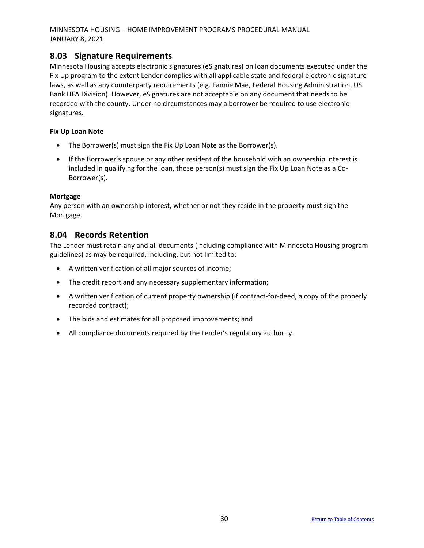### <span id="page-29-0"></span>**8.03 Signature Requirements**

Minnesota Housing accepts electronic signatures (eSignatures) on loan documents executed under the Fix Up program to the extent Lender complies with all applicable state and federal electronic signature laws, as well as any counterparty requirements (e.g. Fannie Mae, Federal Housing Administration, US Bank HFA Division). However, eSignatures are not acceptable on any document that needs to be recorded with the county. Under no circumstances may a borrower be required to use electronic signatures.

#### **Fix Up Loan Note**

- The Borrower(s) must sign the Fix Up Loan Note as the Borrower(s).
- If the Borrower's spouse or any other resident of the household with an ownership interest is included in qualifying for the loan, those person(s) must sign the Fix Up Loan Note as a Co-Borrower(s).

#### **Mortgage**

Any person with an ownership interest, whether or not they reside in the property must sign the Mortgage.

### <span id="page-29-1"></span>**8.04 Records Retention**

The Lender must retain any and all documents (including compliance with Minnesota Housing program guidelines) as may be required, including, but not limited to:

- A written verification of all major sources of income;
- The credit report and any necessary supplementary information;
- A written verification of current property ownership (if contract-for-deed, a copy of the properly recorded contract);
- The bids and estimates for all proposed improvements; and
- All compliance documents required by the Lender's regulatory authority.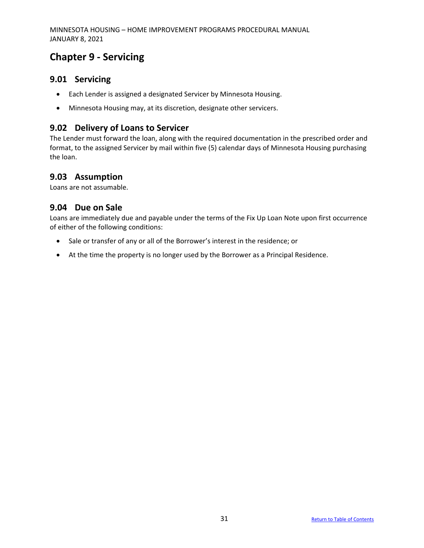# <span id="page-30-0"></span>**Chapter 9 - Servicing**

#### <span id="page-30-1"></span>**9.01 Servicing**

- Each Lender is assigned a designated Servicer by Minnesota Housing.
- Minnesota Housing may, at its discretion, designate other servicers.

### <span id="page-30-2"></span>**9.02 Delivery of Loans to Servicer**

The Lender must forward the loan, along with the required documentation in the prescribed order and format, to the assigned Servicer by mail within five (5) calendar days of Minnesota Housing purchasing the loan.

### <span id="page-30-3"></span>**9.03 Assumption**

Loans are not assumable.

#### <span id="page-30-4"></span>**9.04 Due on Sale**

Loans are immediately due and payable under the terms of the Fix Up Loan Note upon first occurrence of either of the following conditions:

- Sale or transfer of any or all of the Borrower's interest in the residence; or
- At the time the property is no longer used by the Borrower as a Principal Residence.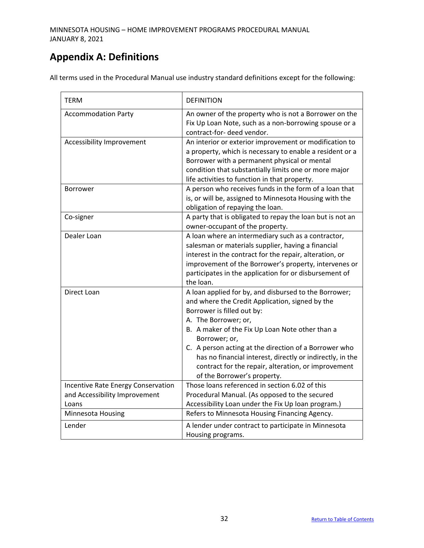# <span id="page-31-0"></span>**Appendix A: Definitions**

All terms used in the Procedural Manual use industry standard definitions except for the following:

| TERM                                                                         | <b>DEFINITION</b>                                                                                                                                                                                                                                                                                                                                                                                                                              |
|------------------------------------------------------------------------------|------------------------------------------------------------------------------------------------------------------------------------------------------------------------------------------------------------------------------------------------------------------------------------------------------------------------------------------------------------------------------------------------------------------------------------------------|
| <b>Accommodation Party</b>                                                   | An owner of the property who is not a Borrower on the<br>Fix Up Loan Note, such as a non-borrowing spouse or a<br>contract-for- deed vendor.                                                                                                                                                                                                                                                                                                   |
| Accessibility Improvement                                                    | An interior or exterior improvement or modification to<br>a property, which is necessary to enable a resident or a<br>Borrower with a permanent physical or mental<br>condition that substantially limits one or more major<br>life activities to function in that property.                                                                                                                                                                   |
| <b>Borrower</b>                                                              | A person who receives funds in the form of a loan that<br>is, or will be, assigned to Minnesota Housing with the<br>obligation of repaying the loan.                                                                                                                                                                                                                                                                                           |
| Co-signer                                                                    | A party that is obligated to repay the loan but is not an<br>owner-occupant of the property.                                                                                                                                                                                                                                                                                                                                                   |
| Dealer Loan                                                                  | A loan where an intermediary such as a contractor,<br>salesman or materials supplier, having a financial<br>interest in the contract for the repair, alteration, or<br>improvement of the Borrower's property, intervenes or<br>participates in the application for or disbursement of<br>the loan.                                                                                                                                            |
| Direct Loan                                                                  | A loan applied for by, and disbursed to the Borrower;<br>and where the Credit Application, signed by the<br>Borrower is filled out by:<br>A. The Borrower; or,<br>B. A maker of the Fix Up Loan Note other than a<br>Borrower; or,<br>C. A person acting at the direction of a Borrower who<br>has no financial interest, directly or indirectly, in the<br>contract for the repair, alteration, or improvement<br>of the Borrower's property. |
| Incentive Rate Energy Conservation<br>and Accessibility Improvement<br>Loans | Those loans referenced in section 6.02 of this<br>Procedural Manual. (As opposed to the secured<br>Accessibility Loan under the Fix Up loan program.)                                                                                                                                                                                                                                                                                          |
| Minnesota Housing                                                            | Refers to Minnesota Housing Financing Agency.                                                                                                                                                                                                                                                                                                                                                                                                  |
| Lender                                                                       | A lender under contract to participate in Minnesota<br>Housing programs.                                                                                                                                                                                                                                                                                                                                                                       |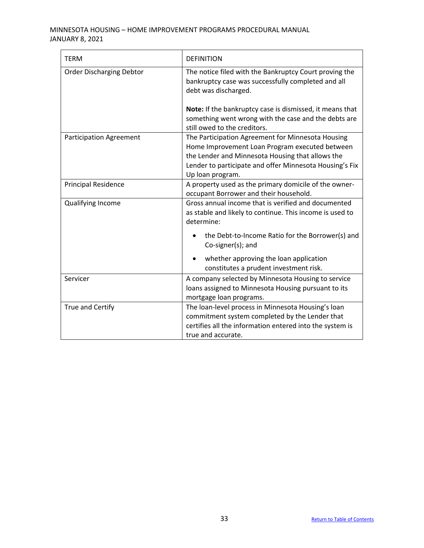| <b>TERM</b>                     | <b>DEFINITION</b>                                                                                                                                                                                                                      |
|---------------------------------|----------------------------------------------------------------------------------------------------------------------------------------------------------------------------------------------------------------------------------------|
| <b>Order Discharging Debtor</b> | The notice filed with the Bankruptcy Court proving the<br>bankruptcy case was successfully completed and all<br>debt was discharged.                                                                                                   |
|                                 | Note: If the bankruptcy case is dismissed, it means that<br>something went wrong with the case and the debts are<br>still owed to the creditors.                                                                                       |
| <b>Participation Agreement</b>  | The Participation Agreement for Minnesota Housing<br>Home Improvement Loan Program executed between<br>the Lender and Minnesota Housing that allows the<br>Lender to participate and offer Minnesota Housing's Fix<br>Up loan program. |
| <b>Principal Residence</b>      | A property used as the primary domicile of the owner-<br>occupant Borrower and their household.                                                                                                                                        |
| Qualifying Income               | Gross annual income that is verified and documented<br>as stable and likely to continue. This income is used to<br>determine:<br>the Debt-to-Income Ratio for the Borrower(s) and                                                      |
|                                 | Co-signer(s); and<br>whether approving the loan application<br>constitutes a prudent investment risk.                                                                                                                                  |
| Servicer                        | A company selected by Minnesota Housing to service<br>loans assigned to Minnesota Housing pursuant to its<br>mortgage loan programs.                                                                                                   |
| True and Certify                | The loan-level process in Minnesota Housing's loan<br>commitment system completed by the Lender that<br>certifies all the information entered into the system is<br>true and accurate.                                                 |